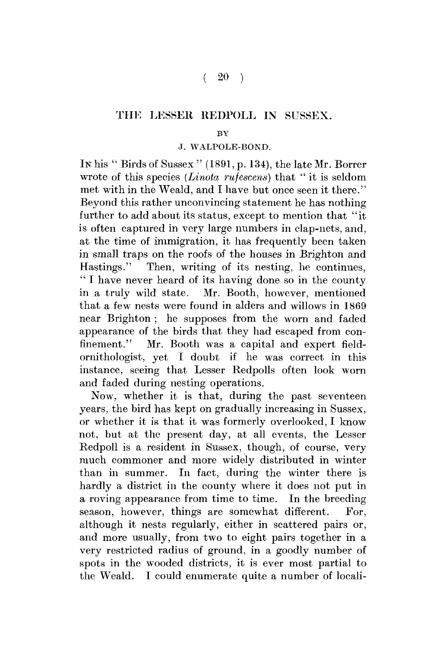## THE LESSER REDPOLL IN SUSSEX.

## $\overline{\mathbf{B}}\overline{\mathbf{V}}$

## J. WALPOLE-BOND.

In his " Birds of Sussex " (1891, p. 134), the late Mr. Borrer wrote of this species *(Linota rufescens)* that "it is seldom met with in the Weald, and I have but once seen it there." Beyond this rather unconvincing statement he has nothing further to add about its status, except to mention that "it is often captured in very large numbers in clap-nets, and, at the time of immigration, it has frequently been taken in small traps on the roofs of the houses in Brighton and Hastings." Then, writing of its nesting, he continues, " I have never heard of its having done so in the county in a truly wild state. Mr. Booth, however, mentioned that a few nests were found in alders and willows in 1869 near Brighton ; he supposes from the worn and faded appearance of the birds that they had escaped from confinement." Mr. Booth was a capital and expert fieldornithologist, yet I doubt if he was correct in this instance, seeing that Lesser Redpolls often look worn and faded during nesting operations.

Now, whether it is that, during the past seventeen years, the bird has kept on gradually increasing in Sussex, or whether it is that it was formerly overlooked, I know not, but at the present day, at all events, the Lesser Redpoll is a resident in Sussex, though, of course, very much commoner and more widely distributed in winter than in summer. In fact, during the winter there is hardly a district in the county where it does not put in a roving appearance from time to time. In the breeding season, however, things are somewhat different. For, although it nests regularly, either in scattered pairs or, and more usually, from two to eight pairs together in a very restricted radius of ground, in a goodly number of spots in the wooded districts, it is ever most partial to the Weald. I could enumerate quite a number of locali-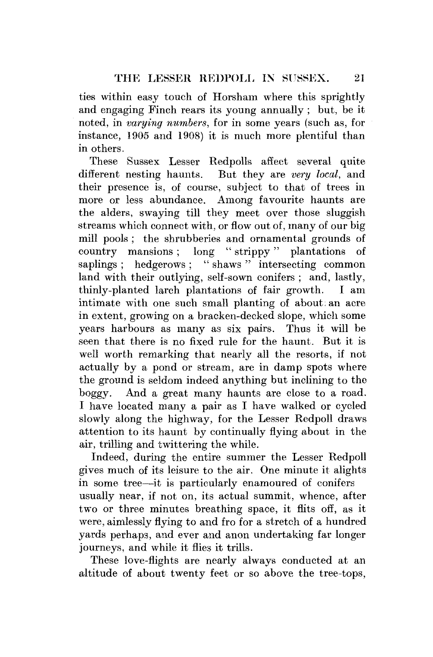ties within easy touch of Horsham where this sprightly and engaging Finch rears its young annually; but, be it noted, in *varying numbers,* for in some years (such as, for instance, 1905 and 1908) it is much more plentiful than in others.

These Sussex Lesser Redpolls affect several quite different nesting haunts. But they are *very local,* and their presence is, of course, subject to that of trees in more or less abundance. Among favourite haunts are the alders, swaying till they meet over those sluggish streams which connect with, or flow out of, many of our big mill pools ; the shrubberies and ornamental grounds of country mansions ; long " strippy" plantations of saplings ; hedgerows ; " shaws " intersecting common land with their outlying, self-sown conifers ; and, lastly, thinly-planted larch plantations of fair growth. I am intimate with one such small planting of about; an acre in extent, growing on a bracken-decked slope, which some years harbours as many as six pairs. Thus it will be seen that there is no fixed rule for the haunt. But it is well worth remarking that nearly all the resorts, if not actually by a pond or stream, are in damp spots where the ground is seldom indeed anything but inclining to the boggy. And a great many haunts are close to a road. I have located many a pair as I have walked or cycled slowly along the highway, for the Lesser Redpoll draws attention to its haunt by continually flying about in the air, trilling and twittering the while.

Indeed, during the entire summer the Lesser Redpoll gives much of its leisure to the air. One minute it alights in some tree—it is particularly enamoured of conifers usually near, if not on, its actual summit, whence, after two or three minutes breathing space, it flits off, as it were, aimlessly flying to and fro for a stretch of a hundred yards perhaps, and ever and anon undertaking far longer journeys, and while it flies it trills.

These love-flights are nearly always conducted at an altitude of about twenty feet or so above the tree-tops,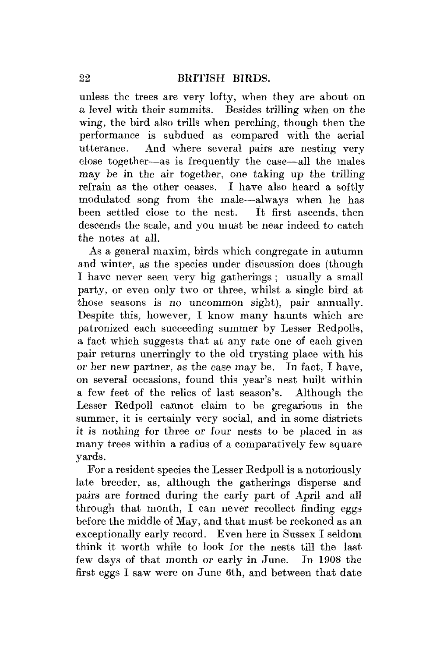unless the trees are very lofty, when they are about on a level with their summits. Besides trilling when on the wing, the bird also trills when perching, though then the performance is subdued as compared with the aerial utterance. And where several pairs are nesting very close together—as is frequently the case—all the males may be in the air together, one taking up the trilling refrain as the other ceases. I have also heard a softly modulated song from the male—always when he has been settled close to the nest. It first ascends, then descends the scale, and you must be near indeed to catch the notes at all.

As a general maxim, birds which congregate in autumn and winter, as the species under discussion does (though I have never seen very big gatherings ; usually a small party, or even only two or three, whilst a single bird at those seasons is no uncommon sight), pair annually. Despite this, however, I know many haunts which are patronized each succeeding summer by Lesser Redpolls, a fact which suggests that at any rate one of each given pair returns unerringly to the old trysting place with his or her new partner, as the case may be. In fact, I have, on several occasions, found this year's nest built within a few feet of the relics of last season's. Although the Lesser Redpoll cannot claim to be gregarious in the summer, it is certainly very social, and in some districts it is nothing for three or four nests to be placed in as many trees within a radius of a comparatively few square yards.

For a resident species the Lesser Redpoll is a notoriously late breeder, as, although the gatherings disperse and pairs are formed during the early part of April and all through that month,  $I$  can never recollect finding eggs before the middle of May, and that must be reckoned as an exceptionally early record. Even here in Sussex I seldom think it worth while to look for the nests till the last few days of that month or early in June. In 1908 the first eggs I saw were on June 6th, and between that date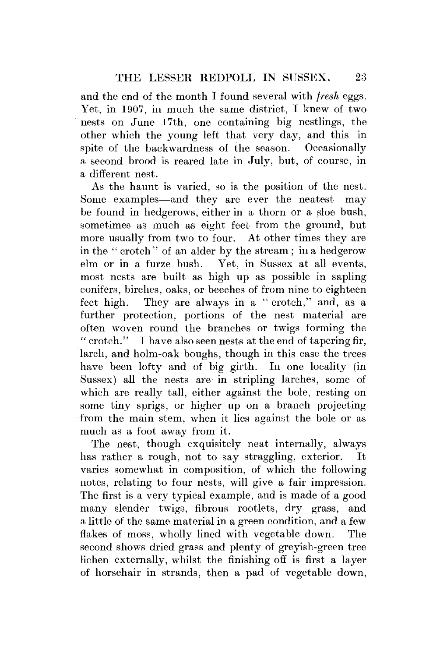and the end of the month I found several with *fresh* eggs. Yet, in 1907, in much the same district, I knew of two nests on June 17th, one containing big nestlings, the other which the young left that very day, and this in spite of the backwardness of the season. Occasionally a second brood is reared late in July, but, of course, in a different nest.

As the haunt is varied, so is the position of the nest. Some examples—and they are ever the neatest—may be found in hedgerows, either in a thorn or a sloe bush, sometimes as much as eight feet from the ground, but more usually from two to four. At other times they are in the " crotch" of an alder by the stream ; in a hedgerow elm or in a furze bush. Yet, in Sussex at all events, most nests are built as high up as possible in sapling conifers, birches, oaks, or beeches of from nine to eighteen feet high. They are always in a " crotch," and, as a further protection, portions of the nest material are often woven round the branches or twigs forming the " crotch." I have also seen nests at the end of tapering fir, larch, and holm-oak boughs, though in this case the trees have been lofty and of big girth. In one locality (in Sussex) all the nests are in stripling larches, some of which are really tall, either against the bole, resting on some tiny sprigs, or higher up on a branch projecting from the main stem, when it lies against the bole or as much as a foot away from it.

The nest, though exquisitely neat internally, always has rather a rough, not to say straggling, exterior. It varies somewhat in composition, of which the following notes, relating to four nests, will give a fair impression. The first is a very typical example, and is made of a good many slender twigs, fibrous rootlets, dry grass, and a little of the same material in a green condition, and a few flakes of moss, wholly lined with vegetable down. The second shows dried grass and plenty of greyish-green tree lichen externally, whilst the finishing off is first a layer of horsehair in strands, then a pad of vegetable down,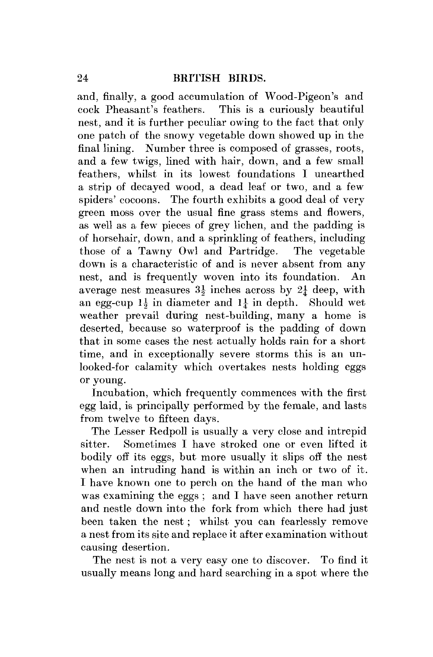and, finally, a good accumulation of Wood-Pigeon's and cock Pheasant's feathers. This is a curiously beautiful nest, and it is further peculiar owing to the fact that only one patch of the snowy vegetable down showed up in the final lining. Number three is composed of grasses, roots, and a few twigs, lined with hair, down, and a few small feathers, whilst in its lowest foundations I unearthed a strip of decayed wood, a dead leaf or two, and a few spiders' cocoons. The fourth exhibits a good deal of very green moss over the usual fine grass stems and flowers, as well as a few pieces of grey lichen, and the padding is of horsehair, down, and a sprinkling of feathers, including those of a Tawny Owl and Partridge. The vegetable down is a characteristic of and is never absent from any nest, and is frequently woven into its foundation. An average nest measures  $3\frac{1}{2}$  inches across by  $2\frac{1}{4}$  deep, with an egg-cup  $1\frac{1}{2}$  in diameter and  $1\frac{1}{2}$  in depth. Should wet weather prevail during nest-building, many a home is deserted, because so waterproof is the padding of down that in some cases the nest actually holds rain for a short time, and in exceptionally severe storms this is an unlooked-for calamity which overtakes nests holding eggs or young.

Incubation, which frequently commences with the first egg laid, is principally performed by the female, and lasts from twelve to fifteen days.

The Lesser Redpoll is usually a very close and intrepid sitter. Sometimes I have stroked one or even lifted it bodily off its eggs, but more usually it slips off the nest when an intruding hand is within an inch or two of it. I have known one to perch on the hand of the man who was examining the eggs ; and I have seen another return and nestle down into the fork from which there had just been taken the nest ; whilst you can fearlessly remove a nest from its site and replace it after examination without causing desertion.

The nest is not a very easy one to discover. To find it usually means long and hard searching in a spot where the